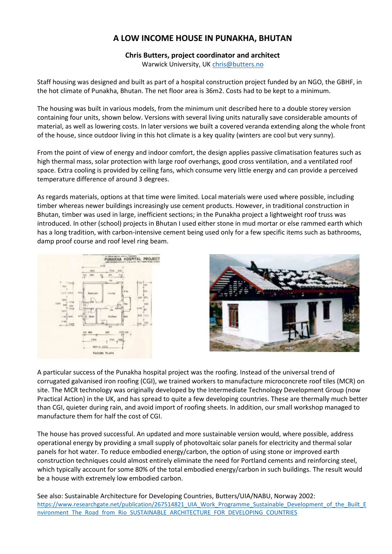## **A LOW INCOME HOUSE IN PUNAKHA, BHUTAN**

## **Chris Butters, project coordinator and architect**

Warwick University, U[K chris@butters.no](mailto:chris@butters.no)

Staff housing was designed and built as part of a hospital construction project funded by an NGO, the GBHF, in the hot climate of Punakha, Bhutan. The net floor area is 36m2. Costs had to be kept to a minimum.

The housing was built in various models, from the minimum unit described here to a double storey version containing four units, shown below. Versions with several living units naturally save considerable amounts of material, as well as lowering costs. In later versions we built a covered veranda extending along the whole front of the house, since outdoor living in this hot climate is a key quality (winters are cool but very sunny).

From the point of view of energy and indoor comfort, the design applies passive climatisation features such as high thermal mass, solar protection with large roof overhangs, good cross ventilation, and a ventilated roof space. Extra cooling is provided by ceiling fans, which consume very little energy and can provide a perceived temperature difference of around 3 degrees.

As regards materials, options at that time were limited. Local materials were used where possible, including timber whereas newer buildings increasingly use cement products. However, in traditional construction in Bhutan, timber was used in large, inefficient sections; in the Punakha project a lightweight roof truss was introduced. In other (school) projects in Bhutan I used either stone in mud mortar or else rammed earth which has a long tradition, with carbon-intensive cement being used only for a few specific items such as bathrooms, damp proof course and roof level ring beam.





A particular success of the Punakha hospital project was the roofing. Instead of the universal trend of corrugated galvanised iron roofing (CGI), we trained workers to manufacture microconcrete roof tiles (MCR) on site. The MCR technology was originally developed by the Intermediate Technology Development Group (now Practical Action) in the UK, and has spread to quite a few developing countries. These are thermally much better than CGI, quieter during rain, and avoid import of roofing sheets. In addition, our small workshop managed to manufacture them for half the cost of CGI.

The house has proved successful. An updated and more sustainable version would, where possible, address operational energy by providing a small supply of photovoltaic solar panels for electricity and thermal solar panels for hot water. To reduce embodied energy/carbon, the option of using stone or improved earth construction techniques could almost entirely eliminate the need for Portland cements and reinforcing steel, which typically account for some 80% of the total embodied energy/carbon in such buildings. The result would be a house with extremely low embodied carbon.

See also: Sustainable Architecture for Developing Countries, Butters/UIA/NABU, Norway 2002: [https://www.researchgate.net/publication/267514821\\_UIA\\_Work\\_Programme\\_Sustainable\\_Development\\_of\\_the\\_Built\\_E](https://www.researchgate.net/publication/267514821_UIA_Work_Programme_Sustainable_Development_of_the_Built_Environment_The_Road_from_Rio_SUSTAINABLE_ARCHITECTURE_FOR_DEVELOPING_COUNTRIES) [nvironment\\_The\\_Road\\_from\\_Rio\\_SUSTAINABLE\\_ARCHITECTURE\\_FOR\\_DEVELOPING\\_COUNTRIES](https://www.researchgate.net/publication/267514821_UIA_Work_Programme_Sustainable_Development_of_the_Built_Environment_The_Road_from_Rio_SUSTAINABLE_ARCHITECTURE_FOR_DEVELOPING_COUNTRIES)